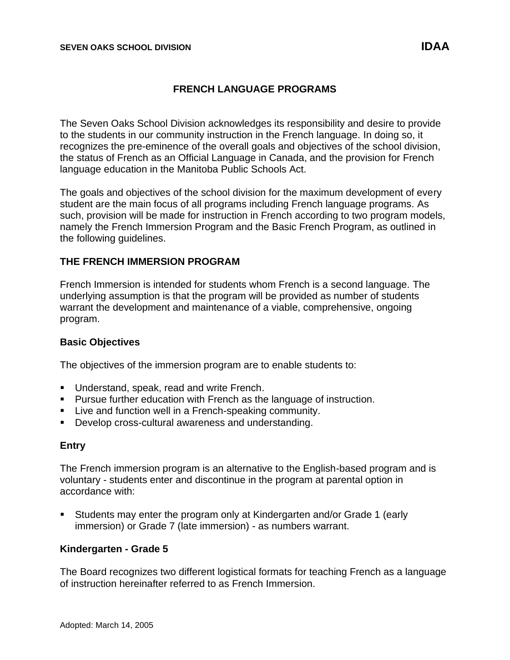The Seven Oaks School Division acknowledges its responsibility and desire to provide to the students in our community instruction in the French language. In doing so, it recognizes the pre-eminence of the overall goals and objectives of the school division, the status of French as an Official Language in Canada, and the provision for French language education in the Manitoba Public Schools Act.

The goals and objectives of the school division for the maximum development of every student are the main focus of all programs including French language programs. As such, provision will be made for instruction in French according to two program models, namely the French Immersion Program and the Basic French Program, as outlined in the following guidelines.

# **THE FRENCH IMMERSION PROGRAM**

French Immersion is intended for students whom French is a second language. The underlying assumption is that the program will be provided as number of students warrant the development and maintenance of a viable, comprehensive, ongoing program.

#### **Basic Objectives**

The objectives of the immersion program are to enable students to:

- Understand, speak, read and write French.
- Pursue further education with French as the language of instruction.
- **EXECT** Live and function well in a French-speaking community.
- Develop cross-cultural awareness and understanding.

#### **Entry**

The French immersion program is an alternative to the English-based program and is voluntary - students enter and discontinue in the program at parental option in accordance with:

▪ Students may enter the program only at Kindergarten and/or Grade 1 (early immersion) or Grade 7 (late immersion) - as numbers warrant.

# **Kindergarten - Grade 5**

The Board recognizes two different logistical formats for teaching French as a language of instruction hereinafter referred to as French Immersion.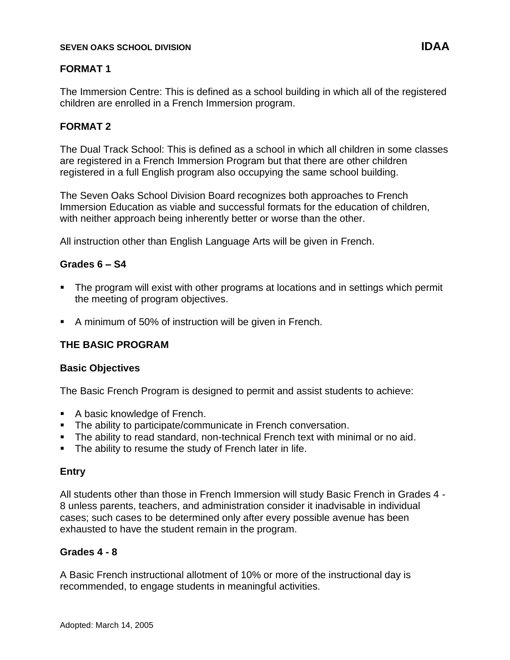## **SEVEN OAKS SCHOOL DIVISION IDAA**

# **FORMAT 1**

The Immersion Centre: This is defined as a school building in which all of the registered children are enrolled in a French Immersion program.

# **FORMAT 2**

The Dual Track School: This is defined as a school in which all children in some classes are registered in a French Immersion Program but that there are other children registered in a full English program also occupying the same school building.

The Seven Oaks School Division Board recognizes both approaches to French Immersion Education as viable and successful formats for the education of children, with neither approach being inherently better or worse than the other.

All instruction other than English Language Arts will be given in French.

# **Grades 6 – S4**

- **•** The program will exist with other programs at locations and in settings which permit the meeting of program objectives.
- A minimum of 50% of instruction will be given in French.

# **THE BASIC PROGRAM**

#### **Basic Objectives**

The Basic French Program is designed to permit and assist students to achieve:

- A basic knowledge of French.
- **The ability to participate/communicate in French conversation.**
- **•** The ability to read standard, non-technical French text with minimal or no aid.
- The ability to resume the study of French later in life.

#### **Entry**

All students other than those in French Immersion will study Basic French in Grades 4 - 8 unless parents, teachers, and administration consider it inadvisable in individual cases; such cases to be determined only after every possible avenue has been exhausted to have the student remain in the program.

# **Grades 4 - 8**

A Basic French instructional allotment of 10% or more of the instructional day is recommended, to engage students in meaningful activities.